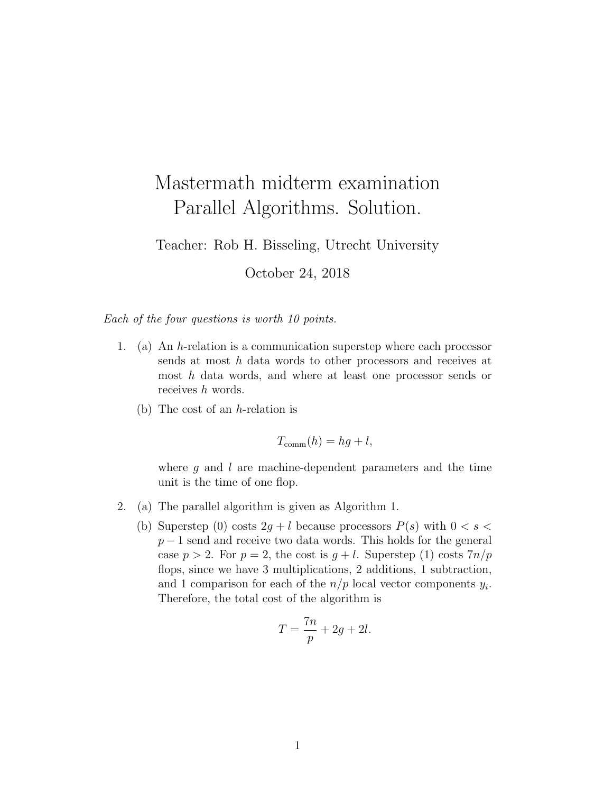## Mastermath midterm examination Parallel Algorithms. Solution.

Teacher: Rob H. Bisseling, Utrecht University

October 24, 2018

Each of the four questions is worth 10 points.

- 1. (a) An h-relation is a communication superstep where each processor sends at most h data words to other processors and receives at most h data words, and where at least one processor sends or receives h words.
	- (b) The cost of an h-relation is

 $T_{\text{comm}}(h) = hq + l$ ,

where  $q$  and  $l$  are machine-dependent parameters and the time unit is the time of one flop.

- 2. (a) The parallel algorithm is given as Algorithm 1.
	- (b) Superstep (0) costs  $2g + l$  because processors  $P(s)$  with  $0 < s <$  $p-1$  send and receive two data words. This holds for the general case  $p > 2$ . For  $p = 2$ , the cost is  $q + l$ . Superstep (1) costs  $7n/p$ flops, since we have 3 multiplications, 2 additions, 1 subtraction, and 1 comparison for each of the  $n/p$  local vector components  $y_i$ . Therefore, the total cost of the algorithm is

$$
T = \frac{7n}{p} + 2g + 2l.
$$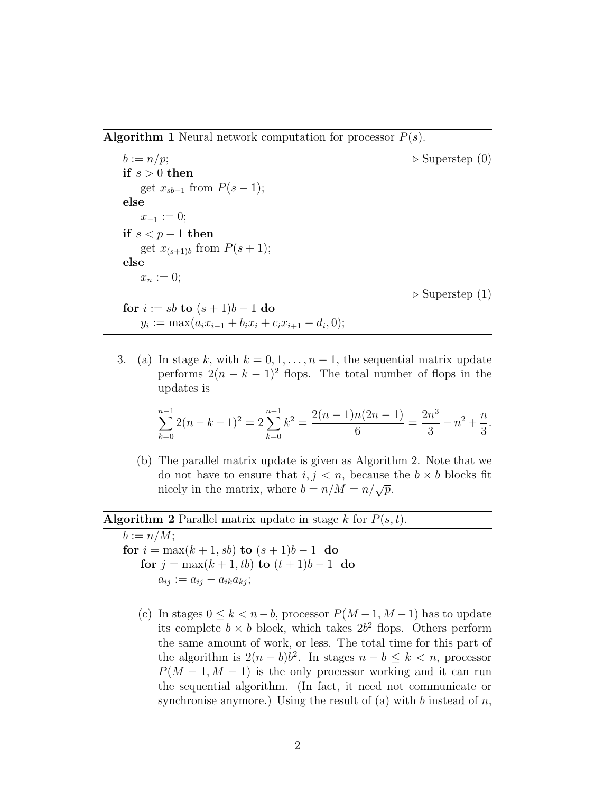**Algorithm 1** Neural network computation for processor  $P(s)$ .

 $b := n/p;$   $\triangleright$  Superstep (0) if  $s > 0$  then get  $x_{sb-1}$  from  $P(s-1)$ ; else  $x_{-1} := 0;$ if  $s < p - 1$  then get  $x_{(s+1)b}$  from  $P(s+1);$ else  $x_n := 0;$ 

 $\triangleright$  Superstep (1)

for  $i := sb$  to  $(s + 1)b - 1$  do  $y_i := \max(a_i x_{i-1} + b_i x_i + c_i x_{i+1} - d_i, 0);$ 

3. (a) In stage k, with  $k = 0, 1, \ldots, n-1$ , the sequential matrix update performs  $2(n - k - 1)^2$  flops. The total number of flops in the updates is

$$
\sum_{k=0}^{n-1} 2(n-k-1)^2 = 2\sum_{k=0}^{n-1} k^2 = \frac{2(n-1)n(2n-1)}{6} = \frac{2n^3}{3} - n^2 + \frac{n}{3}.
$$

(b) The parallel matrix update is given as Algorithm 2. Note that we do not have to ensure that  $i, j < n$ , because the  $b \times b$  blocks fit nicely in the matrix, where  $b = n/M = n/\sqrt{p}$ .

## **Algorithm 2** Parallel matrix update in stage k for  $P(s,t)$ .

 $b := n/M$ ; for  $i = \max(k + 1, sb)$  to  $(s + 1)b - 1$  do for  $j = \max(k + 1, tb)$  to  $(t + 1)b - 1$  do  $a_{ij} := a_{ij} - a_{ik}a_{kj};$ 

(c) In stages  $0 \leq k < n-b$ , processor  $P(M-1, M-1)$  has to update its complete  $b \times b$  block, which takes  $2b^2$  flops. Others perform the same amount of work, or less. The total time for this part of the algorithm is  $2(n - b)b^2$ . In stages  $n - b \leq k < n$ , processor  $P(M-1, M-1)$  is the only processor working and it can run the sequential algorithm. (In fact, it need not communicate or synchronise anymore.) Using the result of (a) with b instead of  $n$ ,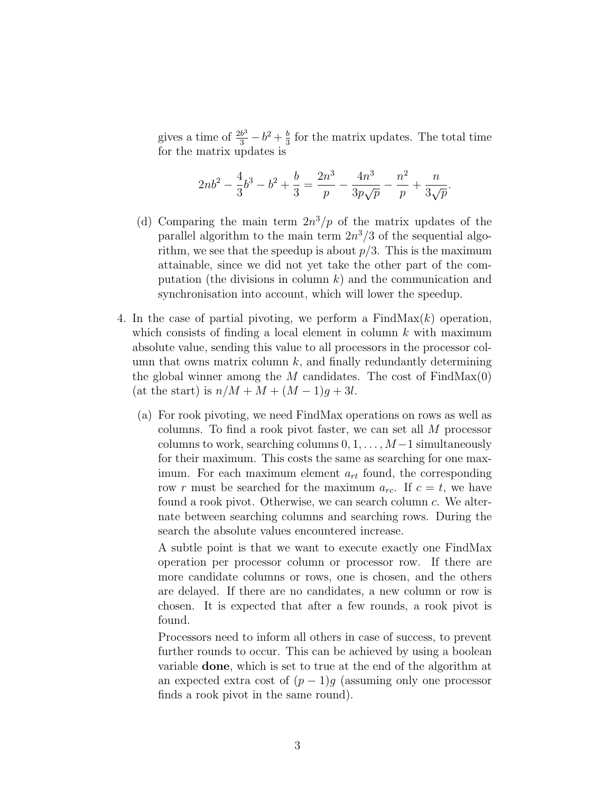gives a time of  $\frac{2b^3}{3} - b^2 + \frac{b}{3}$  $\frac{b}{3}$  for the matrix updates. The total time for the matrix updates is

$$
2nb^{2} - \frac{4}{3}b^{3} - b^{2} + \frac{b}{3} = \frac{2n^{3}}{p} - \frac{4n^{3}}{3p\sqrt{p}} - \frac{n^{2}}{p} + \frac{n}{3\sqrt{p}}.
$$

- (d) Comparing the main term  $2n^3/p$  of the matrix updates of the parallel algorithm to the main term  $2n^3/3$  of the sequential algorithm, we see that the speedup is about  $p/3$ . This is the maximum attainable, since we did not yet take the other part of the computation (the divisions in column  $k$ ) and the communication and synchronisation into account, which will lower the speedup.
- 4. In the case of partial pivoting, we perform a  $FindMax(k)$  operation, which consists of finding a local element in column  $k$  with maximum absolute value, sending this value to all processors in the processor column that owns matrix column  $k$ , and finally redundantly determining the global winner among the M candidates. The cost of  $FindMax(0)$ (at the start) is  $n/M + M + (M - 1)q + 3l$ .
	- (a) For rook pivoting, we need FindMax operations on rows as well as columns. To find a rook pivot faster, we can set all M processor columns to work, searching columns  $0, 1, \ldots, M-1$  simultaneously for their maximum. This costs the same as searching for one maximum. For each maximum element  $a_{rt}$  found, the corresponding row r must be searched for the maximum  $a_{rc}$ . If  $c = t$ , we have found a rook pivot. Otherwise, we can search column c. We alternate between searching columns and searching rows. During the search the absolute values encountered increase.

A subtle point is that we want to execute exactly one FindMax operation per processor column or processor row. If there are more candidate columns or rows, one is chosen, and the others are delayed. If there are no candidates, a new column or row is chosen. It is expected that after a few rounds, a rook pivot is found.

Processors need to inform all others in case of success, to prevent further rounds to occur. This can be achieved by using a boolean variable done, which is set to true at the end of the algorithm at an expected extra cost of  $(p-1)g$  (assuming only one processor finds a rook pivot in the same round).